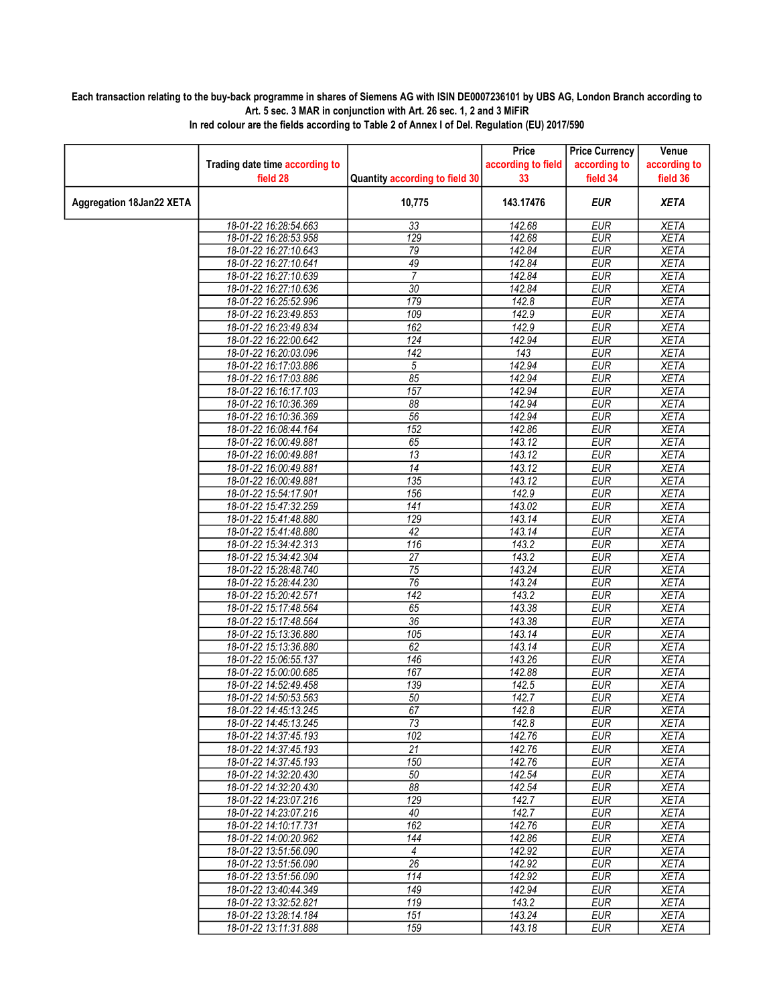## Each transaction relating to the buy-back programme in shares of Siemens AG with ISIN DE0007236101 by UBS AG, London Branch according to Art. 5 sec. 3 MAR in conjunction with Art. 26 sec. 1, 2 and 3 MiFiR

|                                 |                                |                                | Price              | <b>Price Currency</b> | Venue        |
|---------------------------------|--------------------------------|--------------------------------|--------------------|-----------------------|--------------|
|                                 | Trading date time according to |                                | according to field | according to          | according to |
|                                 | field 28                       | Quantity according to field 30 | 33                 | field 34              | field 36     |
| <b>Aggregation 18Jan22 XETA</b> |                                | 10,775                         | 143.17476          | <b>EUR</b>            | <b>XETA</b>  |
|                                 |                                |                                |                    |                       |              |
|                                 | 18-01-22 16:28:54.663          | 33                             | 142.68             | <b>EUR</b>            | <b>XETA</b>  |
|                                 | 18-01-22 16:28:53.958          | $\overline{129}$               | 142.68             | <b>EUR</b>            | <b>XETA</b>  |
|                                 | 18-01-22 16:27:10.643          | 79                             | 142.84             | <b>EUR</b>            | <b>XETA</b>  |
|                                 | 18-01-22 16:27:10.641          | 49                             | 142.84             | <b>EUR</b>            | <b>XETA</b>  |
|                                 | 18-01-22 16:27:10.639          | $\overline{7}$                 | 142.84             | <b>EUR</b>            | <b>XETA</b>  |
|                                 | 18-01-22 16:27:10.636          | 30                             | 142.84             | <b>EUR</b>            | <b>XETA</b>  |
|                                 | 18-01-22 16:25:52.996          | 179                            | 142.8              | <b>EUR</b>            | <b>XETA</b>  |
|                                 | 18-01-22 16:23:49.853          | 109                            | 142.9              | <b>EUR</b>            | <b>XETA</b>  |
|                                 | 18-01-22 16:23:49.834          | 162                            | 142.9              | <b>EUR</b>            | <b>XETA</b>  |
|                                 | 18-01-22 16:22:00.642          | 124                            | 142.94             | <b>EUR</b>            | <b>XETA</b>  |
|                                 | 18-01-22 16:20:03.096          | $\overline{142}$               | $\overline{143}$   | <b>EUR</b>            | <b>XETA</b>  |
|                                 | 18-01-22 16:17:03.886          | 5                              | 142.94             | <b>EUR</b>            | <b>XETA</b>  |
|                                 | 18-01-22 16:17:03.886          | 85                             | 142.94             | <b>EUR</b>            | <b>XETA</b>  |
|                                 | 18-01-22 16:16:17.103          | 157                            | 142.94             | <b>EUR</b>            | <b>XETA</b>  |
|                                 | 18-01-22 16:10:36.369          | $\overline{88}$                | 142.94             | <b>EUR</b>            | <b>XETA</b>  |
|                                 | 18-01-22 16:10:36.369          | $\overline{56}$                | 142.94             | <b>EUR</b>            | <b>XETA</b>  |
|                                 | 18-01-22 16:08:44.164          | 152                            | 142.86             | <b>EUR</b>            | <b>XETA</b>  |
|                                 | 18-01-22 16:00:49.881          | 65                             | 143.12             | <b>EUR</b>            | <b>XETA</b>  |
|                                 | 18-01-22 16:00:49.881          | 13                             | 143.12             | <b>EUR</b>            | <b>XETA</b>  |
|                                 | 18-01-22 16:00:49.881          | $\overline{14}$                | 143.12             | <b>EUR</b>            | <b>XETA</b>  |
|                                 | 18-01-22 16:00:49.881          | 135                            | 143.12             | <b>EUR</b>            | <b>XETA</b>  |
|                                 | 18-01-22 15:54:17.901          | 156                            | 142.9              | <b>EUR</b>            | <b>XETA</b>  |
|                                 | 18-01-22 15:47:32.259          | $\overline{141}$               | 143.02             | <b>EUR</b>            | <b>XETA</b>  |
|                                 | 18-01-22 15:41:48.880          | 129                            | 143.14             | <b>EUR</b>            | <b>XETA</b>  |
|                                 | 18-01-22 15:41:48.880          | 42                             | 143.14             | <b>EUR</b>            | <b>XETA</b>  |
|                                 | 18-01-22 15:34:42.313          | $\overline{116}$               | 143.2              | <b>EUR</b>            | <b>XETA</b>  |
|                                 | 18-01-22 15:34:42.304          | $\overline{27}$                | 143.2              | <b>EUR</b>            | <b>XETA</b>  |
|                                 | 18-01-22 15:28:48.740          | $\overline{75}$                | 143.24             | <b>EUR</b>            | <b>XETA</b>  |
|                                 | 18-01-22 15:28:44.230          | $\overline{76}$                | 143.24             | <b>EUR</b>            | <b>XETA</b>  |
|                                 | 18-01-22 15:20:42.571          | $\overline{142}$               | 143.2              | <b>EUR</b>            | <b>XETA</b>  |
|                                 | 18-01-22 15:17:48.564          | 65                             | 143.38             | <b>EUR</b>            | <b>XETA</b>  |
|                                 | 18-01-22 15:17:48.564          | $\overline{36}$                | 143.38             | <b>EUR</b>            | <b>XETA</b>  |
|                                 | 18-01-22 15:13:36.880          | 105                            | 143.14             | <b>EUR</b>            | <b>XETA</b>  |
|                                 | 18-01-22 15:13:36.880          | 62                             | 143.14             | <b>EUR</b>            | <b>XETA</b>  |
|                                 | 18-01-22 15:06:55.137          | 146                            | 143.26             | <b>EUR</b>            | <b>XETA</b>  |
|                                 | 18-01-22 15:00:00.685          | 167                            | 142.88             | <b>EUR</b>            | <b>XETA</b>  |
|                                 | 18-01-22 14:52:49.458          | 139                            | 142.5              | <b>EUR</b>            | <b>XETA</b>  |
|                                 | 18-01-22 14:50:53.563          | 50                             | 142.7              | <b>EUR</b>            | <b>XETA</b>  |
|                                 | 18-01-22 14:45:13.245          | 67                             | 142.8              | <b>EUR</b>            | <b>XETA</b>  |
|                                 | 18-01-22 14:45:13.245          | $\overline{73}$                | 142.8              | <b>EUR</b>            | <b>XETA</b>  |
|                                 | 18-01-22 14:37:45.193          | 102                            | 142.76             | EUR                   | XETA         |
|                                 | 18-01-22 14:37:45.193          | 21                             | 142.76             | <b>EUR</b>            | <b>XETA</b>  |
|                                 | 18-01-22 14:37:45.193          | 150                            | 142.76             | <b>EUR</b>            | <b>XETA</b>  |
|                                 | 18-01-22 14:32:20.430          | 50                             | 142.54             | <b>EUR</b>            | <b>XETA</b>  |
|                                 | 18-01-22 14:32:20.430          | 88                             | 142.54             | <b>EUR</b>            | <b>XETA</b>  |
|                                 | 18-01-22 14:23:07.216          | 129                            | 142.7              | <b>EUR</b>            | <b>XETA</b>  |
|                                 | 18-01-22 14:23:07.216          | 40                             | 142.7              | EUR                   | <b>XETA</b>  |
|                                 | 18-01-22 14:10:17.731          | 162                            | 142.76             | <b>EUR</b>            | <b>XETA</b>  |
|                                 | 18-01-22 14:00:20.962          | $\overline{144}$               | 142.86             | <b>EUR</b>            | <b>XETA</b>  |
|                                 | 18-01-22 13:51:56.090          | $\overline{4}$                 | 142.92             | EUR                   | <b>XETA</b>  |
|                                 | 18-01-22 13:51:56.090          | $\overline{26}$                | 142.92             | <b>EUR</b>            | <b>XETA</b>  |
|                                 | 18-01-22 13:51:56.090          | 114                            | 142.92             | $E\overline{UR}$      | <b>XETA</b>  |
|                                 | 18-01-22 13:40:44.349          | $\overline{149}$               | 142.94             | EUR                   | <b>XETA</b>  |
|                                 | 18-01-22 13:32:52.821          | 119                            | 143.2              | <b>EUR</b>            | <b>XETA</b>  |
|                                 | 18-01-22 13:28:14.184          | 151                            | 143.24             | <b>EUR</b>            | <b>XETA</b>  |
|                                 | 18-01-22 13:11:31.888          | 159                            | 143.18             | <b>EUR</b>            | XETA         |

In red colour are the fields according to Table 2 of Annex I of Del. Regulation (EU) 2017/590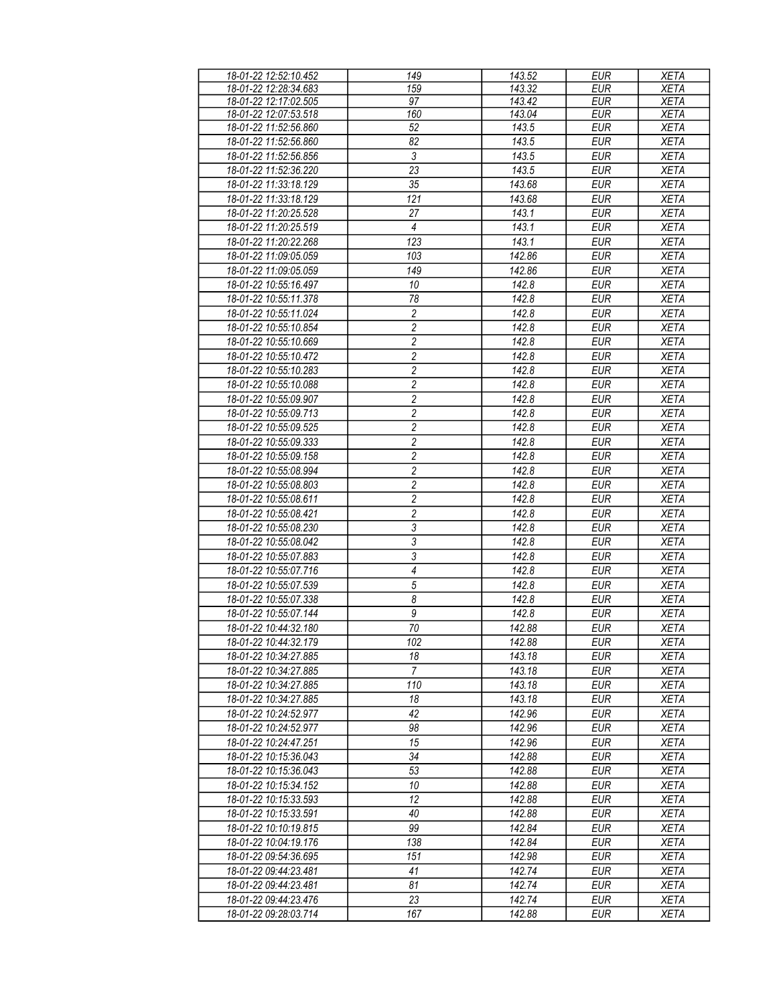| 18-01-22 12:52:10.452 | 149                              | 143.52 | <b>EUR</b> | <b>XETA</b> |
|-----------------------|----------------------------------|--------|------------|-------------|
| 18-01-22 12:28:34.683 | 159                              | 143.32 | <b>EUR</b> | <b>XETA</b> |
| 18-01-22 12:17:02.505 | 97                               | 143.42 | <b>EUR</b> | <b>XETA</b> |
|                       |                                  |        |            |             |
| 18-01-22 12:07:53.518 | 160                              | 143.04 | <b>EUR</b> | <b>XETA</b> |
| 18-01-22 11:52:56.860 | 52                               | 143.5  | <b>EUR</b> | <b>XETA</b> |
| 18-01-22 11:52:56.860 | 82                               | 143.5  | <b>EUR</b> | <b>XETA</b> |
| 18-01-22 11:52:56.856 | $\mathfrak{Z}$                   | 143.5  | <b>EUR</b> | <b>XETA</b> |
| 18-01-22 11:52:36.220 | 23                               | 143.5  | <b>EUR</b> | <b>XETA</b> |
| 18-01-22 11:33:18.129 | 35                               | 143.68 | <b>EUR</b> | <b>XETA</b> |
| 18-01-22 11:33:18.129 | 121                              | 143.68 | <b>EUR</b> | <b>XETA</b> |
|                       |                                  |        |            |             |
| 18-01-22 11:20:25.528 | 27                               | 143.1  | <b>EUR</b> | <b>XETA</b> |
| 18-01-22 11:20:25.519 | $\overline{4}$                   | 143.1  | <b>EUR</b> | <b>XETA</b> |
| 18-01-22 11:20:22.268 | 123                              | 143.1  | <b>EUR</b> | <b>XETA</b> |
| 18-01-22 11:09:05.059 | 103                              | 142.86 | <b>EUR</b> | <b>XETA</b> |
| 18-01-22 11:09:05.059 | 149                              | 142.86 | <b>EUR</b> | <b>XETA</b> |
| 18-01-22 10:55:16.497 | 10                               | 142.8  | <b>EUR</b> | <b>XETA</b> |
| 18-01-22 10:55:11.378 | 78                               | 142.8  | <b>EUR</b> | <b>XETA</b> |
|                       |                                  |        |            |             |
| 18-01-22 10:55:11.024 | 2                                | 142.8  | EUR        | <b>XETA</b> |
| 18-01-22 10:55:10.854 | 2                                | 142.8  | <b>EUR</b> | <b>XETA</b> |
| 18-01-22 10:55:10.669 | $\overline{c}$                   | 142.8  | <b>EUR</b> | <b>XETA</b> |
| 18-01-22 10:55:10.472 | $\overline{2}$                   | 142.8  | <b>EUR</b> | <b>XETA</b> |
| 18-01-22 10:55:10.283 | $\sqrt{2}$                       | 142.8  | <b>EUR</b> | <b>XETA</b> |
| 18-01-22 10:55:10.088 | $\overline{2}$                   | 142.8  | <b>EUR</b> | <b>XETA</b> |
| 18-01-22 10:55:09.907 | 2                                | 142.8  | <b>EUR</b> | <b>XETA</b> |
| 18-01-22 10:55:09.713 | 2                                | 142.8  | <b>EUR</b> | <b>XETA</b> |
|                       |                                  |        | <b>EUR</b> |             |
| 18-01-22 10:55:09.525 | $\sqrt{2}$                       | 142.8  |            | <b>XETA</b> |
| 18-01-22 10:55:09.333 | $\sqrt{2}$                       | 142.8  | <b>EUR</b> | <b>XETA</b> |
| 18-01-22 10:55:09.158 | $\overline{2}$                   | 142.8  | <b>EUR</b> | <b>XETA</b> |
| 18-01-22 10:55:08.994 | $\overline{c}$                   | 142.8  | <b>EUR</b> | <b>XETA</b> |
| 18-01-22 10:55:08.803 | $\overline{c}$                   | 142.8  | <b>EUR</b> | <b>XETA</b> |
| 18-01-22 10:55:08.611 | $\overline{c}$                   | 142.8  | <b>EUR</b> | <b>XETA</b> |
| 18-01-22 10:55:08.421 | $\overline{c}$                   | 142.8  | <b>EUR</b> | <b>XETA</b> |
| 18-01-22 10:55:08.230 | $\sqrt{3}$                       | 142.8  | <b>EUR</b> | <b>XETA</b> |
| 18-01-22 10:55:08.042 | 3                                | 142.8  | <b>EUR</b> | <b>XETA</b> |
| 18-01-22 10:55:07.883 | 3                                | 142.8  | <b>EUR</b> | <b>XETA</b> |
| 18-01-22 10:55:07.716 | $\overline{\mathcal{A}}$         | 142.8  | <b>EUR</b> | <b>XETA</b> |
| 18-01-22 10:55:07.539 | $\sqrt{5}$                       | 142.8  | <b>EUR</b> | <b>XETA</b> |
| 18-01-22 10:55:07.338 | $\overline{\boldsymbol{\delta}}$ | 142.8  | <b>EUR</b> | <b>XETA</b> |
| 18-01-22 10:55:07.144 | $\boldsymbol{9}$                 | 142.8  |            |             |
|                       |                                  |        | EUR        | <b>XETA</b> |
| 18-01-22 10:44:32.180 | 70                               | 142.88 | <b>EUR</b> | <b>XETA</b> |
| 18-01-22 10:44:32.179 | 102                              | 142.88 | EUR        | <b>XETA</b> |
| 18-01-22 10:34:27.885 | 18                               | 143.18 | <b>EUR</b> | <b>XETA</b> |
| 18-01-22 10:34:27.885 | 7                                | 143.18 | EUR        | XETA        |
| 18-01-22 10:34:27.885 | 110                              | 143.18 | EUR        | <b>XETA</b> |
| 18-01-22 10:34:27.885 | 18                               | 143.18 | <b>EUR</b> | <b>XETA</b> |
| 18-01-22 10:24:52.977 | 42                               | 142.96 | <b>EUR</b> | <b>XETA</b> |
| 18-01-22 10:24:52.977 | 98                               | 142.96 | EUR        | <b>XETA</b> |
| 18-01-22 10:24:47.251 | 15                               | 142.96 | <b>EUR</b> | <b>XETA</b> |
| 18-01-22 10:15:36.043 | 34                               | 142.88 | <b>EUR</b> | <b>XETA</b> |
| 18-01-22 10:15:36.043 | 53                               | 142.88 | <b>EUR</b> | <b>XETA</b> |
| 18-01-22 10:15:34.152 | 10                               | 142.88 | EUR        |             |
|                       |                                  |        |            | <b>XETA</b> |
| 18-01-22 10:15:33.593 | 12                               | 142.88 | <b>EUR</b> | <b>XETA</b> |
| 18-01-22 10:15:33.591 | 40                               | 142.88 | <b>EUR</b> | <b>XETA</b> |
| 18-01-22 10:10:19.815 | 99                               | 142.84 | <b>EUR</b> | <b>XETA</b> |
| 18-01-22 10:04:19.176 | 138                              | 142.84 | <b>EUR</b> | <b>XETA</b> |
| 18-01-22 09:54:36.695 | 151                              | 142.98 | <b>EUR</b> | <b>XETA</b> |
| 18-01-22 09:44:23.481 | 41                               | 142.74 | <b>EUR</b> | <b>XETA</b> |
| 18-01-22 09:44:23.481 | 81                               | 142.74 | <b>EUR</b> | <b>XETA</b> |
| 18-01-22 09:44:23.476 | 23                               | 142.74 | <b>EUR</b> | <b>XETA</b> |
| 18-01-22 09:28:03.714 | 167                              | 142.88 | EUR        | <b>XETA</b> |
|                       |                                  |        |            |             |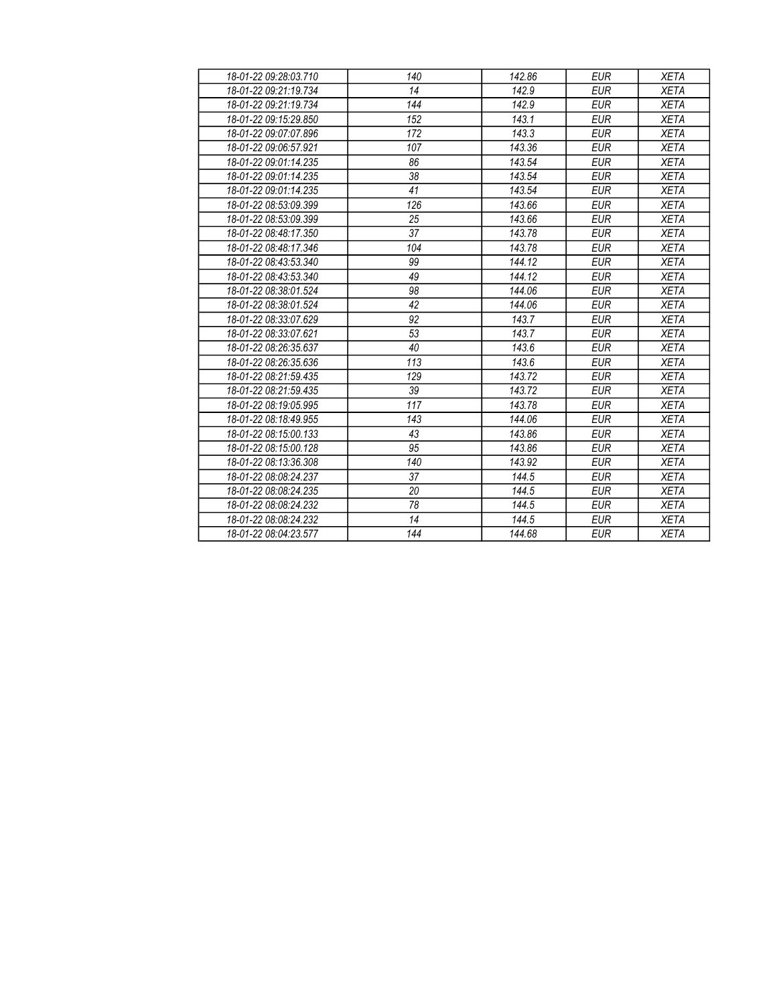| 18-01-22 09:28:03.710 | 140 | 142.86 | <b>EUR</b> | <b>XETA</b> |
|-----------------------|-----|--------|------------|-------------|
| 18-01-22 09:21:19.734 | 14  | 142.9  | <b>EUR</b> | <b>XETA</b> |
| 18-01-22 09:21:19.734 | 144 | 142.9  | <b>EUR</b> | <b>XETA</b> |
| 18-01-22 09:15:29.850 | 152 | 143.1  | <b>EUR</b> | <b>XETA</b> |
| 18-01-22 09:07:07.896 | 172 | 143.3  | <b>EUR</b> | <b>XETA</b> |
| 18-01-22 09:06:57.921 | 107 | 143.36 | <b>EUR</b> | <b>XETA</b> |
| 18-01-22 09:01:14.235 | 86  | 143.54 | <b>EUR</b> | <b>XETA</b> |
| 18-01-22 09:01:14.235 | 38  | 143.54 | <b>EUR</b> | <b>XETA</b> |
| 18-01-22 09:01:14.235 | 41  | 143.54 | <b>EUR</b> | <b>XETA</b> |
| 18-01-22 08:53:09.399 | 126 | 143.66 | <b>EUR</b> | <b>XETA</b> |
| 18-01-22 08:53:09.399 | 25  | 143.66 | <b>EUR</b> | <b>XETA</b> |
| 18-01-22 08:48:17.350 | 37  | 143.78 | <b>EUR</b> | <b>XETA</b> |
| 18-01-22 08:48:17.346 | 104 | 143.78 | <b>EUR</b> | <b>XETA</b> |
| 18-01-22 08:43:53.340 | 99  | 144.12 | <b>EUR</b> | <b>XETA</b> |
| 18-01-22 08:43:53.340 | 49  | 144.12 | <b>EUR</b> | <b>XETA</b> |
| 18-01-22 08:38:01.524 | 98  | 144.06 | <b>EUR</b> | <b>XETA</b> |
| 18-01-22 08:38:01.524 | 42  | 144.06 | <b>EUR</b> | <b>XETA</b> |
| 18-01-22 08:33:07.629 | 92  | 143.7  | <b>EUR</b> | <b>XETA</b> |
| 18-01-22 08:33:07.621 | 53  | 143.7  | <b>EUR</b> | <b>XETA</b> |
| 18-01-22 08:26:35.637 | 40  | 143.6  | <b>EUR</b> | <b>XETA</b> |
| 18-01-22 08:26:35.636 | 113 | 143.6  | <b>EUR</b> | <b>XETA</b> |
| 18-01-22 08:21:59.435 | 129 | 143.72 | <b>EUR</b> | <b>XETA</b> |
| 18-01-22 08:21:59.435 | 39  | 143.72 | <b>EUR</b> | <b>XETA</b> |
| 18-01-22 08:19:05.995 | 117 | 143.78 | <b>EUR</b> | <b>XETA</b> |
| 18-01-22 08:18:49.955 | 143 | 144.06 | <b>EUR</b> | <b>XETA</b> |
| 18-01-22 08:15:00.133 | 43  | 143.86 | <b>EUR</b> | <b>XETA</b> |
| 18-01-22 08:15:00.128 | 95  | 143.86 | <b>EUR</b> | <b>XETA</b> |
| 18-01-22 08:13:36.308 | 140 | 143.92 | <b>EUR</b> | <b>XETA</b> |
| 18-01-22 08:08:24.237 | 37  | 144.5  | <b>EUR</b> | <b>XETA</b> |
| 18-01-22 08:08:24.235 | 20  | 144.5  | <b>EUR</b> | <b>XETA</b> |
| 18-01-22 08:08:24.232 | 78  | 144.5  | <b>EUR</b> | <b>XETA</b> |
| 18-01-22 08:08:24.232 | 14  | 144.5  | <b>EUR</b> | <b>XETA</b> |
| 18-01-22 08:04:23.577 | 144 | 144.68 | <b>EUR</b> | <b>XETA</b> |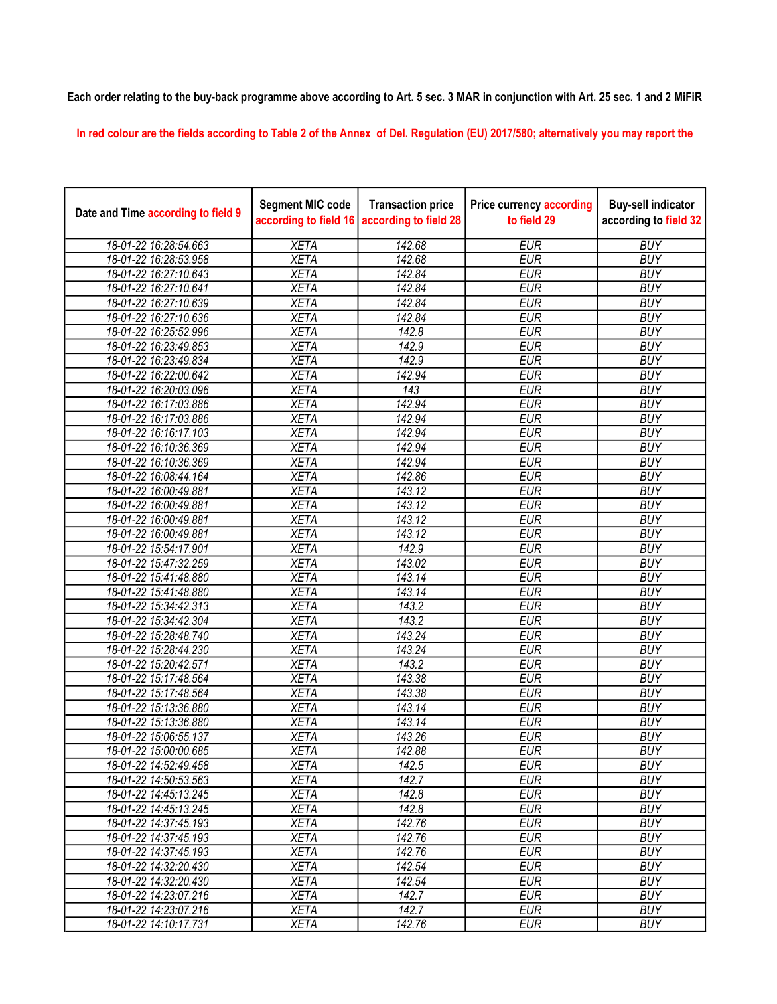## Each order relating to the buy-back programme above according to Art. 5 sec. 3 MAR in conjunction with Art. 25 sec. 1 and 2 MiFiR

In red colour are the fields according to Table 2 of the Annex of Del. Regulation (EU) 2017/580; alternatively you may report the

| Date and Time according to field 9 | <b>Segment MIC code</b><br>according to field 16 | <b>Transaction price</b><br>according to field 28 | <b>Price currency according</b><br>to field 29 | <b>Buy-sell indicator</b><br>according to field 32 |
|------------------------------------|--------------------------------------------------|---------------------------------------------------|------------------------------------------------|----------------------------------------------------|
| 18-01-22 16:28:54.663              | <b>XETA</b>                                      | 142.68                                            | <b>EUR</b>                                     | <b>BUY</b>                                         |
| 18-01-22 16:28:53.958              | <b>XETA</b>                                      | 142.68                                            | <b>EUR</b>                                     | <b>BUY</b>                                         |
| 18-01-22 16:27:10.643              | <b>XETA</b>                                      | 142.84                                            | <b>EUR</b>                                     | <b>BUY</b>                                         |
| 18-01-22 16:27:10.641              | <b>XETA</b>                                      | 142.84                                            | <b>EUR</b>                                     | <b>BUY</b>                                         |
| 18-01-22 16:27:10.639              | <b>XETA</b>                                      | 142.84                                            | <b>EUR</b>                                     | <b>BUY</b>                                         |
| 18-01-22 16:27:10.636              | <b>XETA</b>                                      | 142.84                                            | <b>EUR</b>                                     | <b>BUY</b>                                         |
| 18-01-22 16:25:52.996              | <b>XETA</b>                                      | 142.8                                             | <b>EUR</b>                                     | <b>BUY</b>                                         |
| 18-01-22 16:23:49.853              | <b>XETA</b>                                      | 142.9                                             | <b>EUR</b>                                     | <b>BUY</b>                                         |
| 18-01-22 16:23:49.834              | <b>XETA</b>                                      | 142.9                                             | <b>EUR</b>                                     | <b>BUY</b>                                         |
| 18-01-22 16:22:00.642              | <b>XETA</b>                                      | 142.94                                            | <b>EUR</b>                                     | <b>BUY</b>                                         |
| 18-01-22 16:20:03.096              | <b>XETA</b>                                      | $\overline{143}$                                  | <b>EUR</b>                                     | <b>BUY</b>                                         |
| 18-01-22 16:17:03.886              | <b>XETA</b>                                      | 142.94                                            | <b>EUR</b>                                     | <b>BUY</b>                                         |
| 18-01-22 16:17:03.886              | <b>XETA</b>                                      | 142.94                                            | <b>EUR</b>                                     | <b>BUY</b>                                         |
| 18-01-22 16:16:17.103              | <b>XETA</b>                                      | 142.94                                            | <b>EUR</b>                                     | <b>BUY</b>                                         |
| 18-01-22 16:10:36.369              | <b>XETA</b>                                      | 142.94                                            | <b>EUR</b>                                     | <b>BUY</b>                                         |
| 18-01-22 16:10:36.369              | <b>XETA</b>                                      | 142.94                                            | <b>EUR</b>                                     | <b>BUY</b>                                         |
| 18-01-22 16:08:44.164              | <b>XETA</b>                                      | 142.86                                            | <b>EUR</b>                                     | <b>BUY</b>                                         |
| 18-01-22 16:00:49.881              | <b>XETA</b>                                      | 143.12                                            | <b>EUR</b>                                     | <b>BUY</b>                                         |
| 18-01-22 16:00:49.881              | <b>XETA</b>                                      | 143.12                                            | <b>EUR</b>                                     | <b>BUY</b>                                         |
| 18-01-22 16:00:49.881              | <b>XETA</b>                                      | 143.12                                            | <b>EUR</b>                                     | <b>BUY</b>                                         |
| 18-01-22 16:00:49.881              | <b>XETA</b>                                      | 143.12                                            | <b>EUR</b>                                     | <b>BUY</b>                                         |
| 18-01-22 15:54:17.901              | <b>XETA</b>                                      | 142.9                                             | <b>EUR</b>                                     | <b>BUY</b>                                         |
| 18-01-22 15:47:32.259              | <b>XETA</b>                                      | 143.02                                            | <b>EUR</b>                                     | <b>BUY</b>                                         |
| 18-01-22 15:41:48.880              | <b>XETA</b>                                      | 143.14                                            | <b>EUR</b>                                     | <b>BUY</b>                                         |
| 18-01-22 15:41:48.880              | <b>XETA</b>                                      | 143.14                                            | <b>EUR</b>                                     | <b>BUY</b>                                         |
| 18-01-22 15:34:42.313              | <b>XETA</b>                                      | 143.2                                             | <b>EUR</b>                                     | <b>BUY</b>                                         |
| 18-01-22 15:34:42.304              | <b>XETA</b>                                      | 143.2                                             | <b>EUR</b>                                     | <b>BUY</b>                                         |
| 18-01-22 15:28:48.740              | <b>XETA</b>                                      | 143.24                                            | <b>EUR</b>                                     | <b>BUY</b>                                         |
| 18-01-22 15:28:44.230              | <b>XETA</b>                                      | $\overline{143.24}$                               | <b>EUR</b>                                     | <b>BUY</b>                                         |
| 18-01-22 15:20:42.571              | <b>XETA</b>                                      | 143.2                                             | <b>EUR</b>                                     | <b>BUY</b>                                         |
| 18-01-22 15:17:48.564              | <b>XETA</b>                                      | 143.38                                            | <b>EUR</b>                                     | <b>BUY</b>                                         |
| 18-01-22 15:17:48.564              | <b>XETA</b>                                      | 143.38                                            | <b>EUR</b>                                     | <b>BUY</b>                                         |
| 18-01-22 15:13:36.880              | <b>XETA</b>                                      | 143.14                                            | <b>EUR</b>                                     | <b>BUY</b>                                         |
| 18-01-22 15:13:36.880              | <b>XETA</b>                                      | 143.14                                            | <b>EUR</b>                                     | <b>BUY</b>                                         |
| 18-01-22 15:06:55.137              | <b>XETA</b>                                      | 143.26                                            | <b>EUR</b>                                     | <b>BUY</b>                                         |
| 18-01-22 15:00:00.685              | <b>XETA</b>                                      | 142.88                                            | <b>EUR</b>                                     | <b>BUY</b>                                         |
| 18-01-22 14:52:49.458              | <b>XETA</b>                                      | 142.5                                             | <b>EUR</b>                                     | <b>BUY</b>                                         |
| 18-01-22 14:50:53.563              | <b>XETA</b>                                      | 142.7                                             | <b>EUR</b>                                     | <b>BUY</b>                                         |
| 18-01-22 14:45:13.245              | <b>XETA</b>                                      | 142.8                                             | <b>EUR</b>                                     | <b>BUY</b>                                         |
| 18-01-22 14:45:13.245              | <b>XETA</b>                                      | 142.8                                             | <b>EUR</b>                                     | <b>BUY</b>                                         |
| 18-01-22 14:37:45.193              | <b>XETA</b>                                      | 142.76                                            | <b>EUR</b>                                     | <b>BUY</b>                                         |
| 18-01-22 14:37:45.193              | <b>XETA</b>                                      | 142.76                                            | <b>EUR</b>                                     | <b>BUY</b>                                         |
| 18-01-22 14:37:45.193              | <b>XETA</b>                                      | 142.76                                            | <b>EUR</b>                                     | <b>BUY</b>                                         |
| 18-01-22 14:32:20.430              | <b>XETA</b>                                      | 142.54                                            | <b>EUR</b>                                     | <b>BUY</b>                                         |
| 18-01-22 14:32:20.430              | <b>XETA</b>                                      | 142.54                                            | <b>EUR</b>                                     | <b>BUY</b>                                         |
| 18-01-22 14:23:07.216              | <b>XETA</b>                                      | 142.7                                             | <b>EUR</b>                                     | <b>BUY</b>                                         |
| 18-01-22 14:23:07.216              | <b>XETA</b>                                      | 142.7                                             | <b>EUR</b>                                     | <b>BUY</b>                                         |
| 18-01-22 14:10:17.731              | <b>XETA</b>                                      | 142.76                                            | <b>EUR</b>                                     | <b>BUY</b>                                         |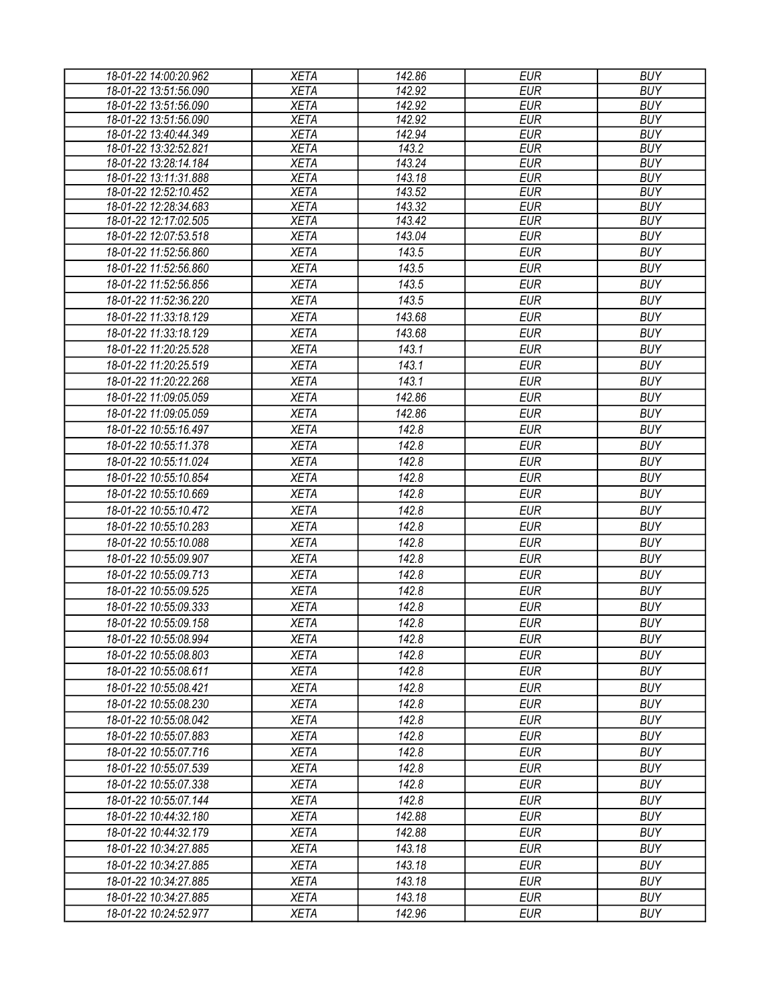| 18-01-22 14:00:20.962 | <b>XETA</b> | 142.86 | <b>EUR</b> | <b>BUY</b> |
|-----------------------|-------------|--------|------------|------------|
| 18-01-22 13:51:56.090 | <b>XETA</b> | 142.92 | <b>EUR</b> | <b>BUY</b> |
| 18-01-22 13:51:56.090 | <b>XETA</b> | 142.92 | <b>EUR</b> | <b>BUY</b> |
| 18-01-22 13:51:56.090 | <b>XETA</b> | 142.92 | <b>EUR</b> | <b>BUY</b> |
| 18-01-22 13:40:44.349 | <b>XETA</b> | 142.94 | <b>EUR</b> | <b>BUY</b> |
| 18-01-22 13:32:52.821 | <b>XETA</b> | 143.2  | <b>EUR</b> | <b>BUY</b> |
| 18-01-22 13:28:14.184 | <b>XETA</b> | 143.24 | <b>EUR</b> | <b>BUY</b> |
| 18-01-22 13:11:31.888 | <b>XETA</b> | 143.18 | <b>EUR</b> | <b>BUY</b> |
| 18-01-22 12:52:10.452 | <b>XETA</b> | 143.52 | <b>EUR</b> | <b>BUY</b> |
| 18-01-22 12:28:34.683 | <b>XETA</b> | 143.32 | <b>EUR</b> | <b>BUY</b> |
| 18-01-22 12:17:02.505 | <b>XETA</b> | 143.42 | <b>EUR</b> | <b>BUY</b> |
| 18-01-22 12:07:53.518 | <b>XETA</b> | 143.04 | <b>EUR</b> | <b>BUY</b> |
| 18-01-22 11:52:56.860 | <b>XETA</b> | 143.5  | <b>EUR</b> | <b>BUY</b> |
| 18-01-22 11:52:56.860 | <b>XETA</b> | 143.5  | <b>EUR</b> | <b>BUY</b> |
| 18-01-22 11:52:56.856 | <b>XETA</b> | 143.5  | <b>EUR</b> | <b>BUY</b> |
| 18-01-22 11:52:36.220 | <b>XETA</b> | 143.5  | <b>EUR</b> | <b>BUY</b> |
| 18-01-22 11:33:18.129 | <b>XETA</b> | 143.68 | <b>EUR</b> | <b>BUY</b> |
| 18-01-22 11:33:18.129 | <b>XETA</b> | 143.68 | <b>EUR</b> | <b>BUY</b> |
| 18-01-22 11:20:25.528 | <b>XETA</b> | 143.1  | <b>EUR</b> | <b>BUY</b> |
| 18-01-22 11:20:25.519 | <b>XETA</b> | 143.1  | <b>EUR</b> | <b>BUY</b> |
| 18-01-22 11:20:22.268 | <b>XETA</b> | 143.1  | <b>EUR</b> | <b>BUY</b> |
| 18-01-22 11:09:05.059 | <b>XETA</b> | 142.86 | <b>EUR</b> | <b>BUY</b> |
| 18-01-22 11:09:05.059 | <b>XETA</b> | 142.86 | <b>EUR</b> | <b>BUY</b> |
| 18-01-22 10:55:16.497 | <b>XETA</b> | 142.8  | <b>EUR</b> | <b>BUY</b> |
| 18-01-22 10:55:11.378 | <b>XETA</b> | 142.8  | <b>EUR</b> | <b>BUY</b> |
| 18-01-22 10:55:11.024 | <b>XETA</b> | 142.8  | <b>EUR</b> | <b>BUY</b> |
| 18-01-22 10:55:10.854 | <b>XETA</b> | 142.8  | <b>EUR</b> | <b>BUY</b> |
| 18-01-22 10:55:10.669 | <b>XETA</b> | 142.8  | <b>EUR</b> | <b>BUY</b> |
| 18-01-22 10:55:10.472 | <b>XETA</b> | 142.8  | <b>EUR</b> | <b>BUY</b> |
| 18-01-22 10:55:10.283 |             | 142.8  | <b>EUR</b> | <b>BUY</b> |
|                       | <b>XETA</b> |        |            |            |
| 18-01-22 10:55:10.088 | <b>XETA</b> | 142.8  | <b>EUR</b> | <b>BUY</b> |
| 18-01-22 10:55:09.907 | <b>XETA</b> | 142.8  | <b>EUR</b> | <b>BUY</b> |
| 18-01-22 10:55:09.713 | <b>XETA</b> | 142.8  | <b>EUR</b> | <b>BUY</b> |
| 18-01-22 10:55:09.525 | <b>XETA</b> | 142.8  | <b>EUR</b> | <b>BUY</b> |
| 18-01-22 10:55:09.333 | <b>XETA</b> | 142.8  | <b>EUR</b> | <b>BUY</b> |
| 18-01-22 10:55:09.158 | <b>XETA</b> | 142.8  | <b>EUR</b> | <b>BUY</b> |
| 18-01-22 10:55:08.994 | <b>XETA</b> | 142.8  | <b>EUR</b> | <b>BUY</b> |
| 18-01-22 10:55:08.803 | <b>XETA</b> | 142.8  | <b>EUR</b> | <b>BUY</b> |
| 18-01-22 10:55:08.611 | <b>XETA</b> | 142.8  | <b>EUR</b> | <b>BUY</b> |
| 18-01-22 10:55:08.421 | <b>XETA</b> | 142.8  | <b>EUR</b> | <b>BUY</b> |
| 18-01-22 10:55:08.230 | <b>XETA</b> | 142.8  | <b>EUR</b> | <b>BUY</b> |
| 18-01-22 10:55:08.042 | <b>XETA</b> | 142.8  | <b>EUR</b> | <b>BUY</b> |
| 18-01-22 10:55:07.883 | <b>XETA</b> | 142.8  | <b>EUR</b> | <b>BUY</b> |
| 18-01-22 10:55:07.716 | <b>XETA</b> | 142.8  | <b>EUR</b> | <b>BUY</b> |
| 18-01-22 10:55:07.539 | <b>XETA</b> | 142.8  | <b>EUR</b> | <b>BUY</b> |
| 18-01-22 10:55:07.338 | <b>XETA</b> | 142.8  | <b>EUR</b> | <b>BUY</b> |
| 18-01-22 10:55:07.144 | <b>XETA</b> | 142.8  | <b>EUR</b> | <b>BUY</b> |
| 18-01-22 10:44:32.180 | <b>XETA</b> | 142.88 | <b>EUR</b> | <b>BUY</b> |
| 18-01-22 10:44:32.179 | <b>XETA</b> | 142.88 | <b>EUR</b> | <b>BUY</b> |
| 18-01-22 10:34:27.885 | <b>XETA</b> | 143.18 | <b>EUR</b> | <b>BUY</b> |
| 18-01-22 10:34:27.885 | <b>XETA</b> | 143.18 | <b>EUR</b> | <b>BUY</b> |
| 18-01-22 10:34:27.885 | <b>XETA</b> | 143.18 | <b>EUR</b> | <b>BUY</b> |
| 18-01-22 10:34:27.885 | <b>XETA</b> | 143.18 | <b>EUR</b> | <b>BUY</b> |
| 18-01-22 10:24:52.977 | <b>XETA</b> | 142.96 | <b>EUR</b> | <b>BUY</b> |
|                       |             |        |            |            |